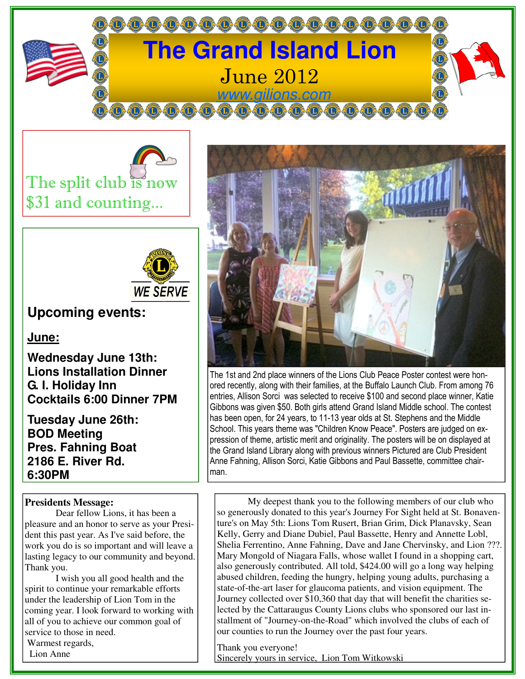





## **Upcoming events:**

**June:**

**Wednesday June 13th: Lions Installation Dinner G. I. Holiday Inn Cocktails 6:00 Dinner 7PM** 

**Tuesday June 26th: BOD Meeting Pres. Fahning Boat 2186 E. River Rd. 6:30PM** 

## **Presidents Message:**

 Dear fellow Lions, it has been a pleasure and an honor to serve as your President this past year. As I've said before, the work you do is so important and will leave a lasting legacy to our community and beyond. Thank you.

 I wish you all good health and the spirit to continue your remarkable efforts under the leadership of Lion Tom in the coming year. I look forward to working with all of you to achieve our common goal of service to those in need. Warmest regards, Lion Anne



The 1st and 2nd place winners of the Lions Club Peace Poster contest were honored recently, along with their families, at the Buffalo Launch Club. From among 76 entries, Allison Sorci was selected to receive \$100 and second place winner, Katie Gibbons was given \$50. Both girls attend Grand Island Middle school. The contest has been open, for 24 years, to 11-13 year olds at St. Stephens and the Middle School. This years theme was "Children Know Peace". Posters are judged on expression of theme, artistic merit and originality. The posters will be on displayed at the Grand Island Library along with previous winners Pictured are Club President Anne Fahning, Allison Sorci, Katie Gibbons and Paul Bassette, committee chairman.

 My deepest thank you to the following members of our club who so generously donated to this year's Journey For Sight held at St. Bonaventure's on May 5th: Lions Tom Rusert, Brian Grim, Dick Planavsky, Sean Kelly, Gerry and Diane Dubiel, Paul Bassette, Henry and Annette Lobl, Shelia Ferrentino, Anne Fahning, Dave and Jane Chervinsky, and Lion ???. Mary Mongold of Niagara Falls, whose wallet I found in a shopping cart, also generously contributed. All told, \$424.00 will go a long way helping abused children, feeding the hungry, helping young adults, purchasing a state-of-the-art laser for glaucoma patients, and vision equipment. The Journey collected over \$10,360 that day that will benefit the charities selected by the Cattaraugus County Lions clubs who sponsored our last installment of "Journey-on-the-Road" which involved the clubs of each of our counties to run the Journey over the past four years.

Thank you everyone! Sincerely yours in service, Lion Tom Witkowski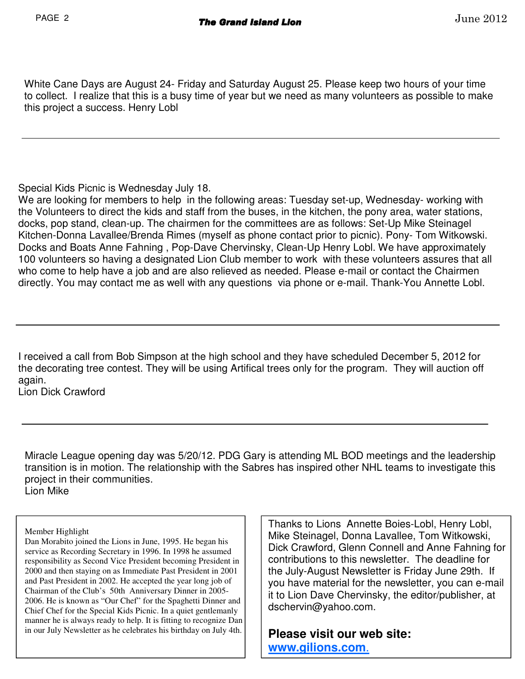White Cane Days are August 24- Friday and Saturday August 25. Please keep two hours of your time to collect. I realize that this is a busy time of year but we need as many volunteers as possible to make this project a success. Henry Lobl

Special Kids Picnic is Wednesday July 18.

We are looking for members to help in the following areas: Tuesday set-up, Wednesday- working with the Volunteers to direct the kids and staff from the buses, in the kitchen, the pony area, water stations, docks, pop stand, clean-up. The chairmen for the committees are as follows: Set-Up Mike Steinagel Kitchen-Donna Lavallee/Brenda Rimes (myself as phone contact prior to picnic). Pony- Tom Witkowski. Docks and Boats Anne Fahning , Pop-Dave Chervinsky, Clean-Up Henry Lobl. We have approximately 100 volunteers so having a designated Lion Club member to work with these volunteers assures that all who come to help have a job and are also relieved as needed. Please e-mail or contact the Chairmen directly. You may contact me as well with any questions via phone or e-mail. Thank-You Annette Lobl.

I received a call from Bob Simpson at the high school and they have scheduled December 5, 2012 for the decorating tree contest. They will be using Artifical trees only for the program. They will auction off again. Lion Dick Crawford

Miracle League opening day was 5/20/12. PDG Gary is attending ML BOD meetings and the leadership transition is in motion. The relationship with the Sabres has inspired other NHL teams to investigate this project in their communities. Lion Mike

Member Highlight

Dan Morabito joined the Lions in June, 1995. He began his service as Recording Secretary in 1996. In 1998 he assumed responsibility as Second Vice President becoming President in 2000 and then staying on as Immediate Past President in 2001 and Past President in 2002. He accepted the year long job of Chairman of the Club's 50th Anniversary Dinner in 2005- 2006. He is known as "Our Chef" for the Spaghetti Dinner and Chief Chef for the Special Kids Picnic. In a quiet gentlemanly manner he is always ready to help. It is fitting to recognize Dan in our July Newsletter as he celebrates his birthday on July 4th.

Thanks to Lions Annette Boies-Lobl, Henry Lobl, Mike Steinagel, Donna Lavallee, Tom Witkowski, Dick Crawford, Glenn Connell and Anne Fahning for contributions to this newsletter. The deadline for the July-August Newsletter is Friday June 29th. If you have material for the newsletter, you can e-mail it to Lion Dave Chervinsky, the editor/publisher, at dschervin@yahoo.com.

**Please visit our web site: www.gilions.com**.